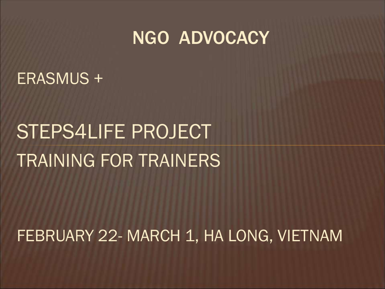

### ERASMUS +

## STEPS4LIFE PROJECT TRAINING FOR TRAINERS

### FEBRUARY 22- MARCH 1, HA LONG, VIETNAM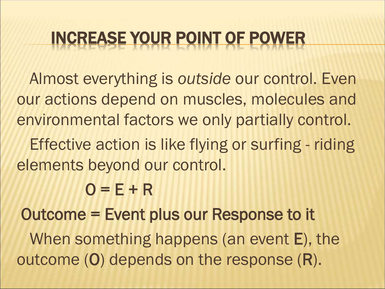## INCREASE YOUR POINT OF POWER

Almost everything is *outside* our control. Even our actions depend on muscles, molecules and environmental factors we only partially control.

Effective action is like flying or surfing - riding elements beyond our control.

 $O = E + R$ 

Outcome = Event plus our Response to it

When something happens (an event E), the outcome (O) depends on the response (R).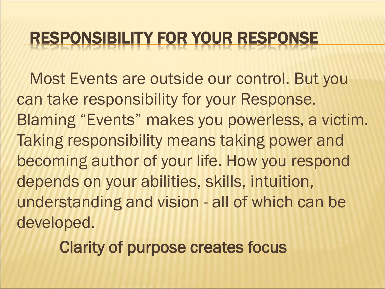## RESPONSIBILITY FOR YOUR RESPONSE

Most Events are outside our control. But you can take responsibility for your Response. Blaming "Events" makes you powerless, a victim. Taking responsibility means taking power and becoming author of your life. How you respond depends on your abilities, skills, intuition, understanding and vision - all of which can be developed.

Clarity of purpose creates focus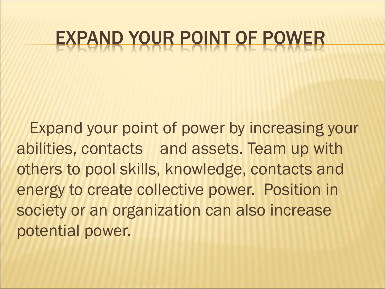# EXPAND YOUR POINT OF POWER

Expand your point of power by increasing your abilities, contacts and assets. Team up with others to pool skills, knowledge, contacts and energy to create collective power. Position in society or an organization can also increase potential power.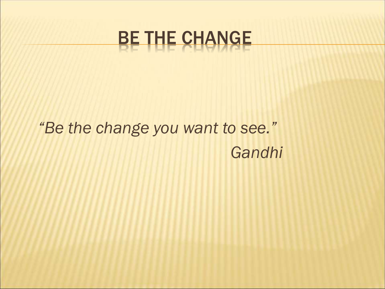## BE THE CHANGE

## *"Be the change you want to see." Gandhi*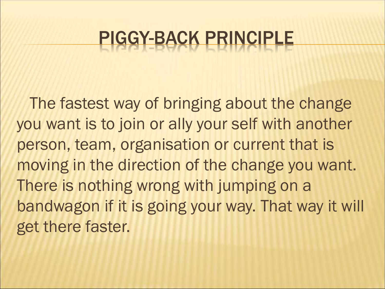## PIGGY-BACK PRINCIPLE

The fastest way of bringing about the change you want is to join or ally your self with another person, team, organisation or current that is moving in the direction of the change you want. There is nothing wrong with jumping on a bandwagon if it is going your way. That way it will get there faster.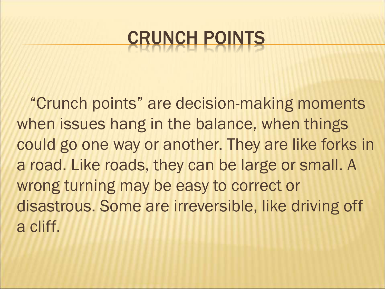## CRUNCH POINTS

"Crunch points" are decision-making moments when issues hang in the balance, when things could go one way or another. They are like forks in a road. Like roads, they can be large or small. A wrong turning may be easy to correct or disastrous. Some are irreversible, like driving off a cliff.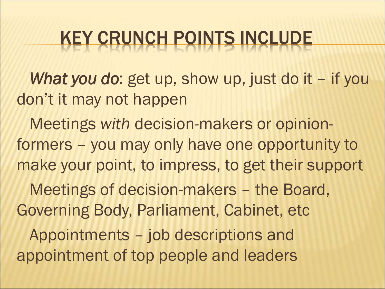# KEY CRUNCH POINTS INCLUDE

What you do: get up, show up, just do it - if you don't it may not happen

Meetings *with* decision-makers or opinionformers – you may only have one opportunity to make your point, to impress, to get their support

Meetings of decision-makers – the Board, Governing Body, Parliament, Cabinet, etc

Appointments – job descriptions and appointment of top people and leaders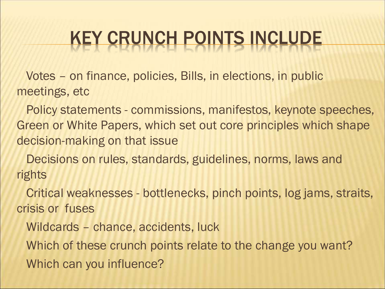# KEY CRUNCH POINTS INCLUDE

Votes – on finance, policies, Bills, in elections, in public meetings, etc

Policy statements - commissions, manifestos, keynote speeches, Green or White Papers, which set out core principles which shape decision-making on that issue

Decisions on rules, standards, guidelines, norms, laws and rights

Critical weaknesses - bottlenecks, pinch points, log jams, straits, crisis or fuses

Wildcards – chance, accidents, luck

Which of these crunch points relate to the change you want? Which can you influence?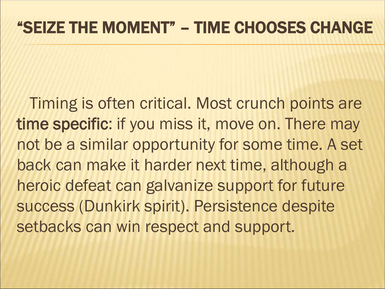### "SEIZE THE MOMENT" – TIME CHOOSES CHANGE

Timing is often critical. Most crunch points are time specific: if you miss it, move on. There may not be a similar opportunity for some time. A set back can make it harder next time, although a heroic defeat can galvanize support for future success (Dunkirk spirit). Persistence despite setbacks can win respect and support.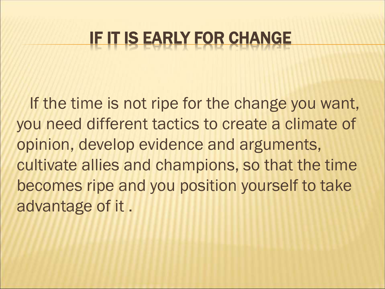## IF IT IS EARLY FOR CHANGE

If the time is not ripe for the change you want, you need different tactics to create a climate of opinion, develop evidence and arguments, cultivate allies and champions, so that the time becomes ripe and you position yourself to take advantage of it .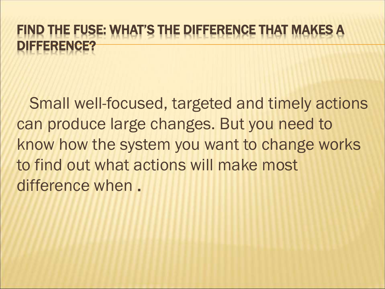### FIND THE FUSE: WHAT'S THE DIFFERENCE THAT MAKES A IFFERENCE?

Small well-focused, targeted and timely actions can produce large changes. But you need to know how the system you want to change works to find out what actions will make most difference when .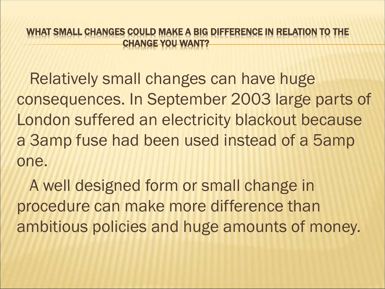WHAT SMALL CHANGES COULD MAKE A BIG DIFFERENCE IN RELATIO CHANGE YOU WANT?

Relatively small changes can have huge consequences. In September 2003 large parts of London suffered an electricity blackout because a 3amp fuse had been used instead of a 5amp one.

A well designed form or small change in procedure can make more difference than ambitious policies and huge amounts of money.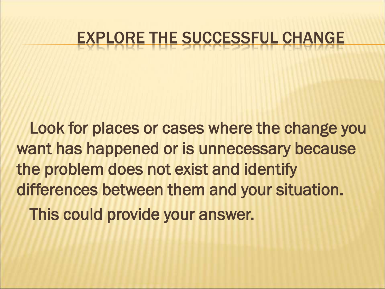### EXPLORE THE SUCCESSFUL CHANGE

Look for places or cases where the change you want has happened or is unnecessary because the problem does not exist and identify differences between them and your situation. This could provide your answer.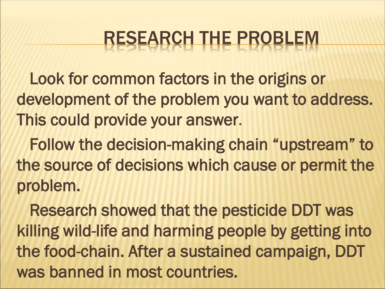# RESEARCH THE PROBLEM

Look for common factors in the origins or development of the problem you want to address. This could provide your answer.

Follow the decision-making chain "upstream" to the source of decisions which cause or permit the problem.

Research showed that the pesticide DDT was killing wild-life and harming people by getting into the food-chain. After a sustained campaign, DDT was banned in most countries.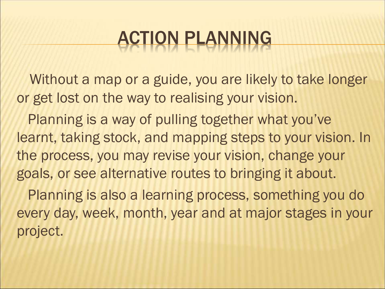## ACTION PLANNING

Without a map or a guide, you are likely to take longer or get lost on the way to realising your vision.

Planning is a way of pulling together what you've learnt, taking stock, and mapping steps to your vision. In the process, you may revise your vision, change your goals, or see alternative routes to bringing it about.

Planning is also a learning process, something you do every day, week, month, year and at major stages in your project.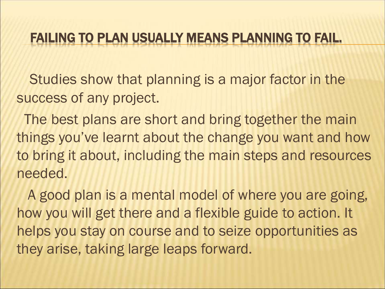#### FAILING TO PLAN USUALLY MEANS PLANNING TO FAIL.

Studies show that planning is a major factor in the success of any project.

The best plans are short and bring together the main things you've learnt about the change you want and how to bring it about, including the main steps and resources needed.

A good plan is a mental model of where you are going, how you will get there and a flexible guide to action. It helps you stay on course and to seize opportunities as they arise, taking large leaps forward.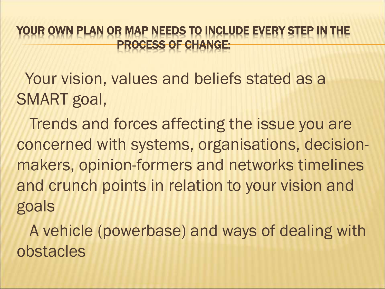#### YOUR OWN PLAN OR MAP NEEDS TO INCLUDE EVERY STEP IN PROCESS OF CHANGE:

Your vision, values and beliefs stated as a SMART goal,

Trends and forces affecting the issue you are concerned with systems, organisations, decisionmakers, opinion-formers and networks timelines and crunch points in relation to your vision and goals

A vehicle (powerbase) and ways of dealing with obstacles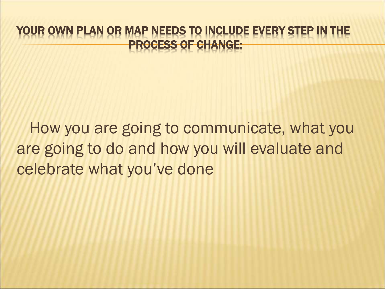#### YOUR OWN PLAN OR MAP NEEDS TO INCLUDE EVERY STEP IN THE PROCESS OF CHANGE:

How you are going to communicate, what you are going to do and how you will evaluate and celebrate what you've done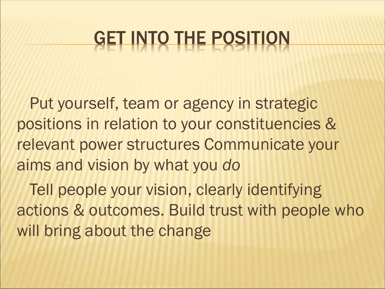# GET INTO THE POSITION

Put yourself, team or agency in strategic positions in relation to your constituencies & relevant power structures Communicate your aims and vision by what you *do*

Tell people your vision, clearly identifying actions & outcomes. Build trust with people who will bring about the change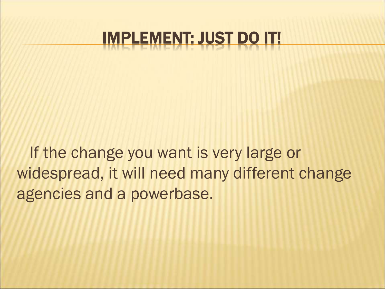### IMPLEMENT: JUST DO IT!

If the change you want is very large or widespread, it will need many different change agencies and a powerbase.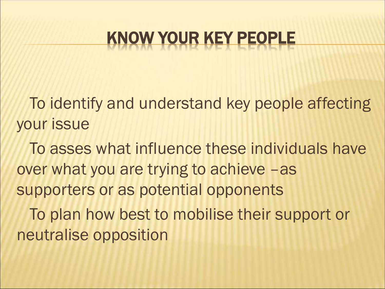## KNOW YOUR KEY PEOPLE

To identify and understand key people affecting your issue

To asses what influence these individuals have over what you are trying to achieve –as supporters or as potential opponents To plan how best to mobilise their support or neutralise opposition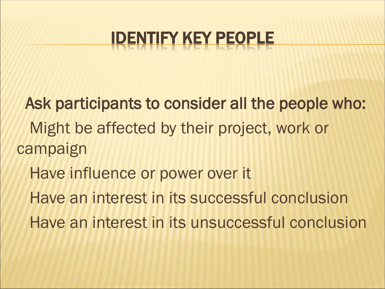## IDENTIFY KEY PEOPLE

Ask participants to consider all the people who: Might be affected by their project, work or campaign Have influence or power over it Have an interest in its successful conclusion Have an interest in its unsuccessful conclusion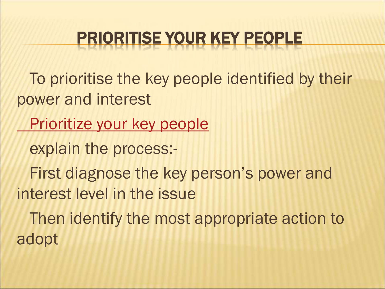## PRIORITISE YOUR KEY PEOPLE

To prioritise the key people identified by their power and interest

[Prioritize your key people](file:///C:/Users/asus/Desktop/UH_facilitation_manual_v1.0.doc#_Mobilising_Your_Assets_1)

explain the process:-

First diagnose the key person's power and interest level in the issue

Then identify the most appropriate action to adopt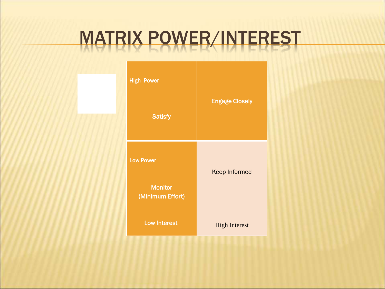# MATRIX POWER/INTEREST

| <b>High Power</b>                  |                       |
|------------------------------------|-----------------------|
| <b>Satisfy</b>                     | <b>Engage Closely</b> |
| <b>Low Power</b>                   | <b>Keep Informed</b>  |
| <b>Monitor</b><br>(Minimum Effort) |                       |
| <b>Low Interest</b>                | <b>High Interest</b>  |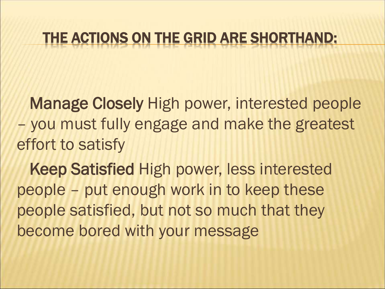### THE ACTIONS ON THE GRID ARE SHORTHAND:

Manage Closely High power, interested people – you must fully engage and make the greatest effort to satisfy

Keep Satisfied High power, less interested people – put enough work in to keep these people satisfied, but not so much that they become bored with your message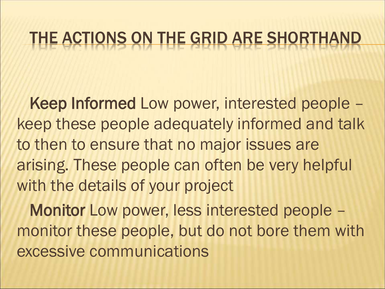## THE ACTIONS ON THE GRID ARE SHORTHAND

Keep Informed Low power, interested people – keep these people adequately informed and talk to then to ensure that no major issues are arising. These people can often be very helpful with the details of your project

Monitor Low power, less interested people – monitor these people, but do not bore them with excessive communications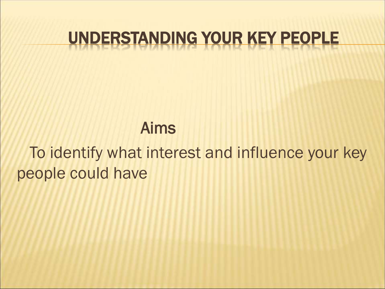### UNDERSTANDING YOUR KEY PEOPLE

### Aims

### To identify what interest and influence your key people could have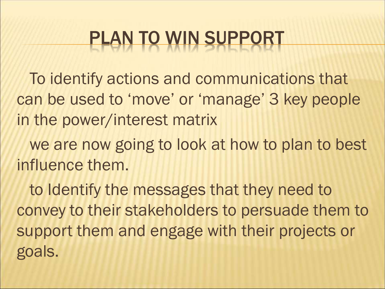# PLAN TO WIN SUPPORT

To identify actions and communications that can be used to 'move' or 'manage' 3 key people in the power/interest matrix

we are now going to look at how to plan to best influence them.

to Identify the messages that they need to convey to their stakeholders to persuade them to support them and engage with their projects or goals.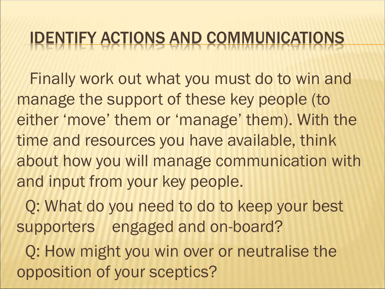### IDENTIFY ACTIONS AND COMMUNICATIONS

Finally work out what you must do to win and manage the support of these key people (to either 'move' them or 'manage' them). With the time and resources you have available, think about how you will manage communication with and input from your key people.

Q: What do you need to do to keep your best supporters engaged and on-board?

Q: How might you win over or neutralise the opposition of your sceptics?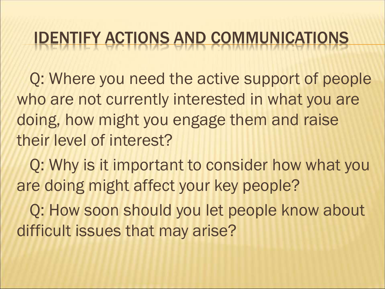### IDENTIFY ACTIONS AND COMMUNICATIONS

Q: Where you need the active support of people who are not currently interested in what you are doing, how might you engage them and raise their level of interest?

Q: Why is it important to consider how what you are doing might affect your key people?

Q: How soon should you let people know about difficult issues that may arise?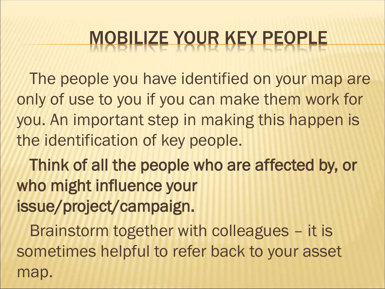# MOBILIZE YOUR KEY PEOPLE

The people you have identified on your map are only of use to you if you can make them work for you. An important step in making this happen is the identification of key people.

Think of all the people who are affected by, or who might influence your issue/project/campaign.

Brainstorm together with colleagues – it is sometimes helpful to refer back to your asset map.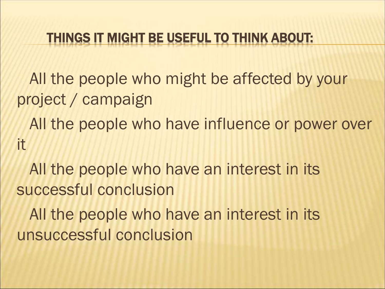#### THINGS IT MIGHT BE USEFUL TO THINK ABOUT:

All the people who might be affected by your project / campaign

All the people who have influence or power over it

All the people who have an interest in its successful conclusion

All the people who have an interest in its unsuccessful conclusion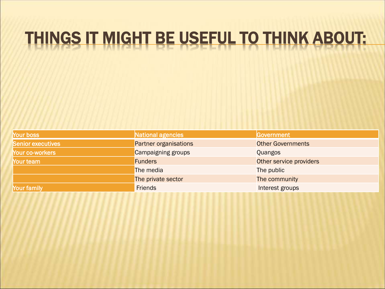## THINGS IT MIGHT BE USEFUL TO THINK ABOUT:

| Your boss                | National agencies            | Government               |
|--------------------------|------------------------------|--------------------------|
| <b>Senior executives</b> | <b>Partner organisations</b> | <b>Other Governments</b> |
| Your co-workers          | Campaigning groups           | Quangos                  |
| <b>Your team</b>         | <b>Funders</b>               | Other service providers  |
|                          | The media                    | The public               |
|                          | The private sector           | The community            |
| <b>Nour family</b>       | <b>Friends</b>               | Interest groups          |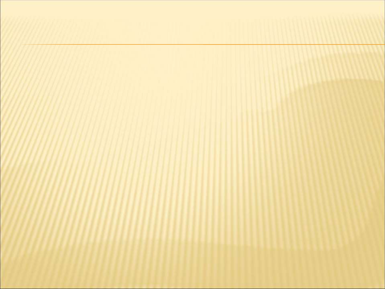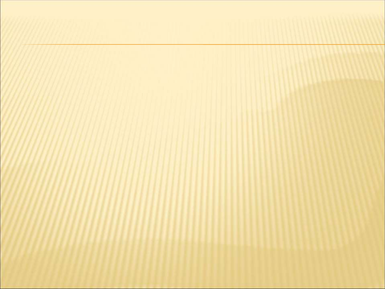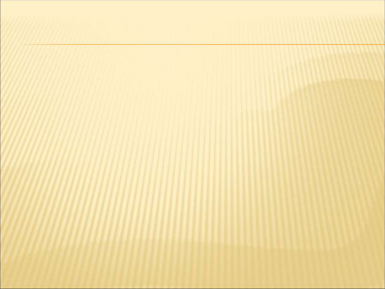